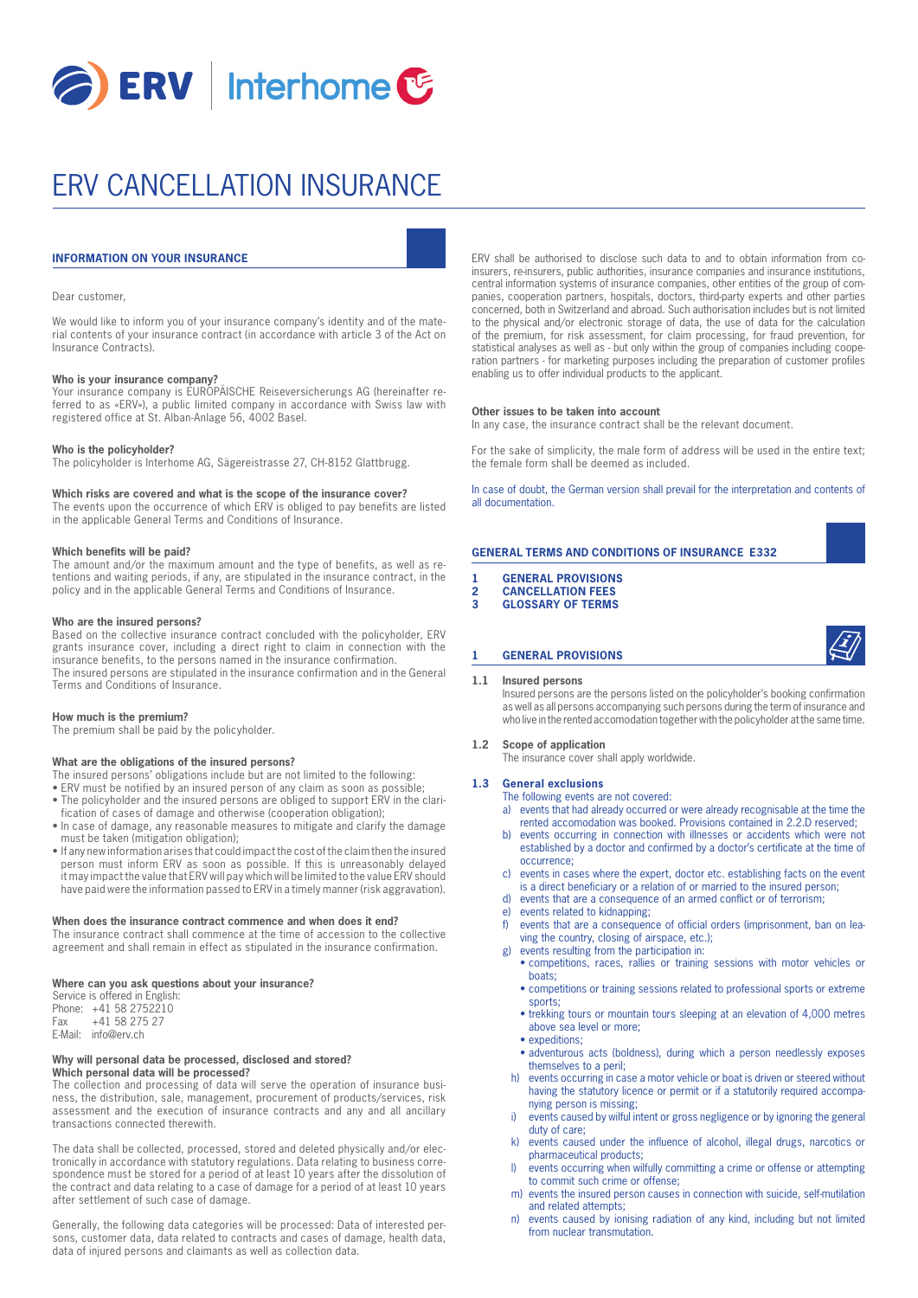

# ERV CANCELLATION INSURANCE

# **INFORMATION ON YOUR INSURANCE**

#### Dear customer,

We would like to inform you of your insurance company's identity and of the material contents of your insurance contract (in accordance with article 3 of the Act on Insurance Contracts).

### **Who is your insurance company?**

Your insurance company is EUROPÄISCHE Reiseversicherungs AG (hereinafter referred to as «ERV»), a public limited company in accordance with Swiss law with registered office at St. Alban-Anlage 56, 4002 Basel.

#### **Who is the policyholder?**

The policyholder is Interhome AG, Sägereistrasse 27, CH-8152 Glattbrugg.

#### **Which risks are covered and what is the scope of the insurance cover?**

The events upon the occurrence of which ERV is obliged to pay benefits are listed in the applicable General Terms and Conditions of Insurance.

#### **Which benefits will be paid?**

The amount and/or the maximum amount and the type of benefits, as well as retentions and waiting periods, if any, are stipulated in the insurance contract, in the policy and in the applicable General Terms and Conditions of Insurance.

#### **Who are the insured persons?**

Based on the collective insurance contract concluded with the policyholder, ERV grants insurance cover, including a direct right to claim in connection with the insurance benefits, to the persons named in the insurance confirmation. The insured persons are stipulated in the insurance confirmation and in the General Terms and Conditions of Insurance.

### **How much is the premium?**

The premium shall be paid by the policyholder.

#### **What are the obligations of the insured persons?**

- The insured persons' obligations include but are not limited to the following:
- ERV must be notified by an insured person of any claim as soon as possible; • The policyholder and the insured persons are obliged to support ERV in the clari-
- fication of cases of damage and otherwise (cooperation obligation);
- In case of damage, any reasonable measures to mitigate and clarify the damage must be taken (mitigation obligation);
- If any new information arises that could impact the cost of the claim then the insured person must inform ERV as soon as possible. If this is unreasonably delayed it may impact the value that ERV will pay which will be limited to the value ERV should have paid were the information passed to ERV in a timely manner (risk aggravation).

#### **When does the insurance contract commence and when does it end?**

The insurance contract shall commence at the time of accession to the collective agreement and shall remain in effect as stipulated in the insurance confirmation.

#### **Where can you ask questions about your insurance?**

Service is offered in English: Phone: +41 58 2752210<br>Fax +41 58 275 27  $+41$  58 275 27 E-Mail: info@erv.ch

#### **Why will personal data be processed, disclosed and stored? Which personal data will be processed?**

The collection and processing of data will serve the operation of insurance business, the distribution, sale, management, procurement of products/services, risk assessment and the execution of insurance contracts and any and all ancillary transactions connected therewith.

The data shall be collected, processed, stored and deleted physically and/or electronically in accordance with statutory regulations. Data relating to business correspondence must be stored for a period of at least 10 years after the dissolution of the contract and data relating to a case of damage for a period of at least 10 years after settlement of such case of damage.

Generally, the following data categories will be processed: Data of interested persons, customer data, data related to contracts and cases of damage, health data, data of injured persons and claimants as well as collection data.

ERV shall be authorised to disclose such data to and to obtain information from coinsurers, re-insurers, public authorities, insurance companies and insurance institutions, central information systems of insurance companies, other entities of the group of companies, cooperation partners, hospitals, doctors, third-party experts and other parties concerned, both in Switzerland and abroad. Such authorisation includes but is not limited to the physical and/or electronic storage of data, the use of data for the calculation of the premium, for risk assessment, for claim processing, for fraud prevention, for statistical analyses as well as - but only within the group of companies including cooperation partners - for marketing purposes including the preparation of customer profiles enabling us to offer individual products to the applicant.

#### **Other issues to be taken into account**

In any case, the insurance contract shall be the relevant document.

For the sake of simplicity, the male form of address will be used in the entire text; the female form shall be deemed as included.

In case of doubt, the German version shall prevail for the interpretation and contents of all documentation.

## **GENERAL TERMS AND CONDITIONS OF INSURANCE E332**

- **1 GENERAL PROVISIONS**
- **2 CANCELLATION FEES**
- **3 GLOSSARY OF TERMS**

#### **1 GENERAL PROVISIONS**

#### **1.1 Insured persons**

 Insured persons are the persons listed on the policyholder's booking confirmation as well as all persons accompanying such persons during the term of insurance and who live in the rented accomodation together with the policyholder at the same time.

#### **1.2 Scope of application**

The insurance cover shall apply worldwide.

#### **1.3 General exclusions** The following events are not covered:

- a) events that had already occurred or were already recognisable at the time the rented accomodation was booked. Provisions contained in 2.2.D reserved;
- b) events occurring in connection with illnesses or accidents which were not established by a doctor and confirmed by a doctor's certificate at the time of occurrence;
- c) events in cases where the expert, doctor etc. establishing facts on the event is a direct beneficiary or a relation of or married to the insured person;
- d) events that are a consequence of an armed conflict or of terrorism;
- e) events related to kidnapping;
- f) events that are a consequence of official orders (imprisonment, ban on leaving the country, closing of airspace, etc.);
- events resulting from the participation in:
	- competitions, races, rallies or training sessions with motor vehicles or boats;
	- competitions or training sessions related to professional sports or extreme sports;
	- trekking tours or mountain tours sleeping at an elevation of 4,000 metres above sea level or more;
	- expeditions:
	- adventurous acts (boldness), during which a person needlessly exposes themselves to a peril;
- h) events occurring in case a motor vehicle or boat is driven or steered without having the statutory licence or permit or if a statutorily required accompanying person is missing;
- i) events caused by wilful intent or gross negligence or by ignoring the general duty of care;
- k) events caused under the influence of alcohol, illegal drugs, narcotics or pharmaceutical products;
- l) events occurring when wilfully committing a crime or offense or attempting to commit such crime or offense;
- m) events the insured person causes in connection with suicide, self-mutilation and related attempts;
- n) events caused by ionising radiation of any kind, including but not limited from nuclear transmutation.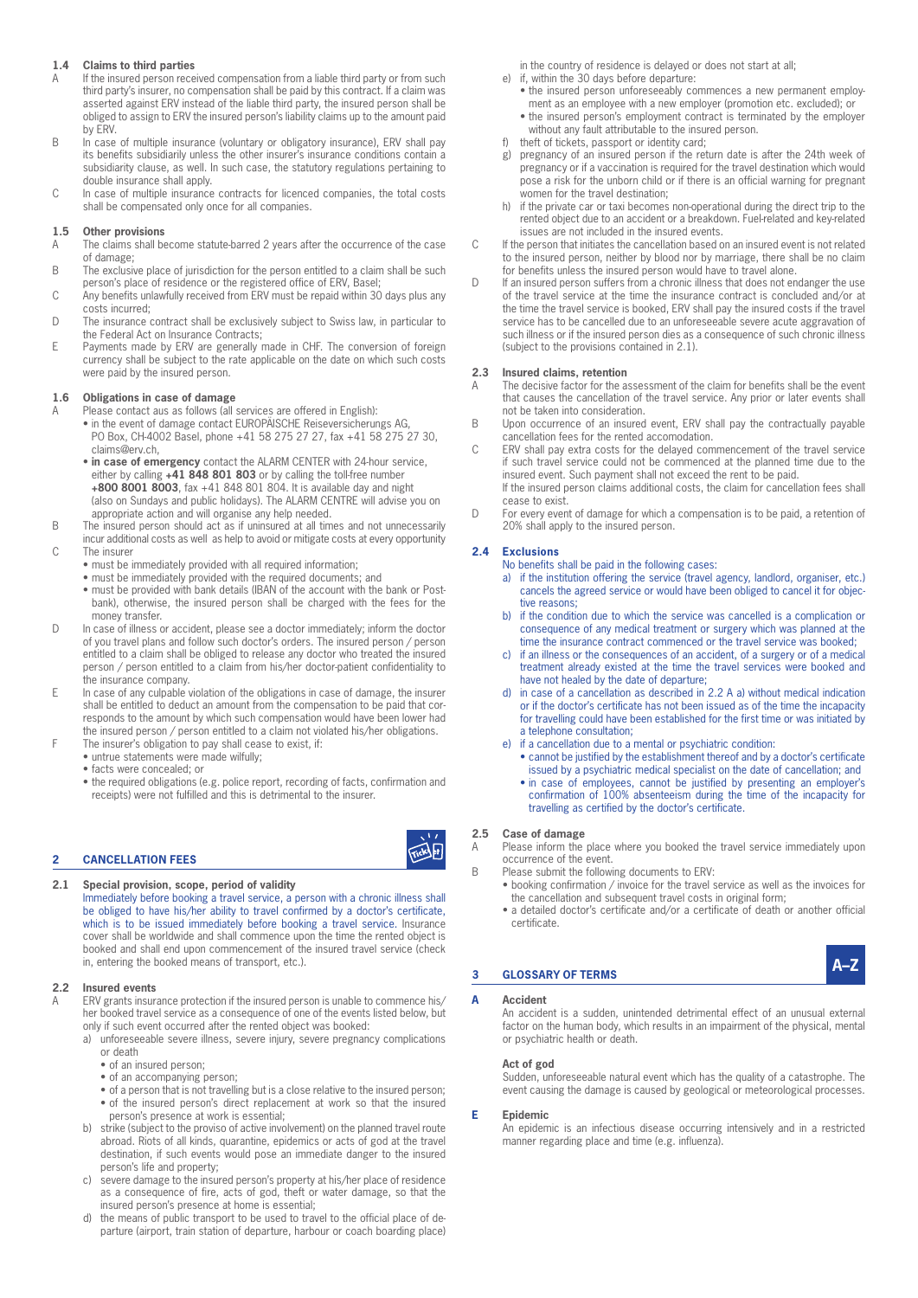# **1.4 Claims to third parties**

- If the insured person received compensation from a liable third party or from such third party's insurer, no compensation shall be paid by this contract. If a claim was asserted against ERV instead of the liable third party, the insured person shall be obliged to assign to ERV the insured person's liability claims up to the amount paid by ERV.
- B In case of multiple insurance (voluntary or obligatory insurance), ERV shall pay its benefits subsidiarily unless the other insurer's insurance conditions contain a subsidiarity clause, as well. In such case, the statutory regulations pertaining to double insurance shall apply.
- C In case of multiple insurance contracts for licenced companies, the total costs shall be compensated only once for all companies.

# **1.5 Other provisions**

- A The claims shall become statute-barred 2 years after the occurrence of the case of damage;
- B The exclusive place of jurisdiction for the person entitled to a claim shall be such person's place of residence or the registered office of ERV, Basel;
- C Any benefits unlawfully received from ERV must be repaid within 30 days plus any costs incurred;
- D The insurance contract shall be exclusively subject to Swiss law, in particular to the Federal Act on Insurance Contracts;
- E Payments made by ERV are generally made in CHF. The conversion of foreign currency shall be subject to the rate applicable on the date on which such costs were paid by the insured person.

# **1.6 Obligations in case of damage**<br>**A** Please contact aus as follows (all s

- Please contact aus as follows (all services are offered in English):
	- in the event of damage contact EUROPÄISCHE Reiseversicherungs AG, PO Box, CH-4002 Basel, phone +41 58 275 27 27, fax +41 58 275 27 30, claims@erv.ch,
	- **in case of emergency** contact the ALARM CENTER with 24-hour service, either by calling **+41 848 801 803** or by calling the toll-free number **+800 8001 8003**, fax +41 848 801 804. It is available day and night (also on Sundays and public holidays). The ALARM CENTRE will advise you on appropriate action and will organise any help needed.
- B The insured person should act as if uninsured at all times and not unnecessarily
- incur additional costs as well as help to avoid or mitigate costs at every opportunity C The insurer
	- must be immediately provided with all required information;
	- must be immediately provided with the required documents; and
	- must be provided with bank details (IBAN of the account with the bank or Postbank), otherwise, the insured person shall be charged with the fees for the money transfer.
- D In case of illness or accident, please see a doctor immediately; inform the doctor of you travel plans and follow such doctor's orders. The insured person / person entitled to a claim shall be obliged to release any doctor who treated the insured person / person entitled to a claim from his/her doctor-patient confidentiality to the insurance company.
- E In case of any culpable violation of the obligations in case of damage, the insurer shall be entitled to deduct an amount from the compensation to be paid that corresponds to the amount by which such compensation would have been lower had the insured person / person entitled to a claim not violated his/her obligations.
- F The insurer's obligation to pay shall cease to exist, if:
	- untrue statements were made wilfully;
	- facts were concealed; or
	- the required obligations (e.g. police report, recording of facts, confirmation and receipts) were not fulfilled and this is detrimental to the insurer.

# **2 CANCELLATION FEES**

**2.1 Special provision, scope, period of validity**

 Immediately before booking a travel service, a person with a chronic illness shall be obliged to have his/her ability to travel confirmed by a doctor's certificate, which is to be issued immediately before booking a travel service. Insurance cover shall be worldwide and shall commence upon the time the rented object is booked and shall end upon commencement of the insured travel service (check in, entering the booked means of transport, etc.).

# **2.2 Insured events**

- ERV grants insurance protection if the insured person is unable to commence his/ her booked travel service as a consequence of one of the events listed below, but only if such event occurred after the rented object was booked:
	- a) unforeseeable severe illness, severe injury, severe pregnancy complications or death
		- of an insured person;
		- of an accompanying person;
		- of a person that is not travelling but is a close relative to the insured person; • of the insured person's direct replacement at work so that the insured person's presence at work is essential;
	- b) strike (subject to the proviso of active involvement) on the planned travel route abroad. Riots of all kinds, quarantine, epidemics or acts of god at the travel destination, if such events would pose an immediate danger to the insured person's life and property;
	- c) severe damage to the insured person's property at his/her place of residence as a consequence of fire, acts of god, theft or water damage, so that the insured person's presence at home is essential;
	- d) the means of public transport to be used to travel to the official place of departure (airport, train station of departure, harbour or coach boarding place)

in the country of residence is delayed or does not start at all;

- e) if, within the 30 days before departure:
	- the insured person unforeseeably commences a new permanent employment as an employee with a new employer (promotion etc. excluded); or
	- the insured person's employment contract is terminated by the employer without any fault attributable to the insured person.
- f) theft of tickets, passport or identity card;
- pregnancy of an insured person if the return date is after the 24th week of pregnancy or if a vaccination is required for the travel destination which would pose a risk for the unborn child or if there is an official warning for pregnant women for the travel destination;
- h) if the private car or taxi becomes non-operational during the direct trip to the rented object due to an accident or a breakdown. Fuel-related and key-related issues are not included in the insured events.
- C If the person that initiates the cancellation based on an insured event is not related to the insured person, neither by blood nor by marriage, there shall be no claim for benefits unless the insured person would have to travel alone.
- D If an insured person suffers from a chronic illness that does not endanger the use of the travel service at the time the insurance contract is concluded and/or at the time the travel service is booked, ERV shall pay the insured costs if the travel service has to be cancelled due to an unforeseeable severe acute aggravation of such illness or if the insured person dies as a consequence of such chronic illness (subject to the provisions contained in 2.1).

# **2.3 Insured claims, retention**

- A The decisive factor for the assessment of the claim for benefits shall be the event that causes the cancellation of the travel service. Any prior or later events shall not be taken into consideration.
- B Upon occurrence of an insured event, ERV shall pay the contractually payable cancellation fees for the rented accomodation.
- C ERV shall pay extra costs for the delayed commencement of the travel service if such travel service could not be commenced at the planned time due to the insured event. Such payment shall not exceed the rent to be paid. If the insured person claims additional costs, the claim for cancellation fees shall

cease to exist.

D For every event of damage for which a compensation is to be paid, a retention of 20% shall apply to the insured person.

# **2.4 Exclusions**

- No benefits shall be paid in the following cases:
	- a) if the institution offering the service (travel agency, landlord, organiser, etc.) cancels the agreed service or would have been obliged to cancel it for objective reasons;
	- b) if the condition due to which the service was cancelled is a complication or consequence of any medical treatment or surgery which was planned at the time the insurance contract commenced or the travel service was booked;
	- c) if an illness or the consequences of an accident, of a surgery or of a medical treatment already existed at the time the travel services were booked and have not healed by the date of departure;
	- d) in case of a cancellation as described in 2.2 A a) without medical indication or if the doctor's certificate has not been issued as of the time the incapacity for travelling could have been established for the first time or was initiated by a telephone consultation;
	- e) if a cancellation due to a mental or psychiatric condition:
		- cannot be justified by the establishment thereof and by a doctor's certificate issued by a psychiatric medical specialist on the date of cancellation; and
		- in case of employees, cannot be justified by presenting an employer's confirmation of 100% absenteeism during the time of the incapacity for travelling as certified by the doctor's certificate.

# **2.5 Case of damage**

Ticks of

A Please inform the place where you booked the travel service immediately upon occurrence of the event.

- B Please submit the following documents to ERV:
	- booking confirmation / invoice for the travel service as well as the invoices for the cancellation and subsequent travel costs in original form;
	- a detailed doctor's certificate and/or a certificate of death or another official certificate.



## **A Accident**

 An accident is a sudden, unintended detrimental effect of an unusual external factor on the human body, which results in an impairment of the physical, mental or psychiatric health or death.

# **Act of god**

 Sudden, unforeseeable natural event which has the quality of a catastrophe. The event causing the damage is caused by geological or meteorological processes.

# **E Epidemic**

 An epidemic is an infectious disease occurring intensively and in a restricted manner regarding place and time (e.g. influenza).